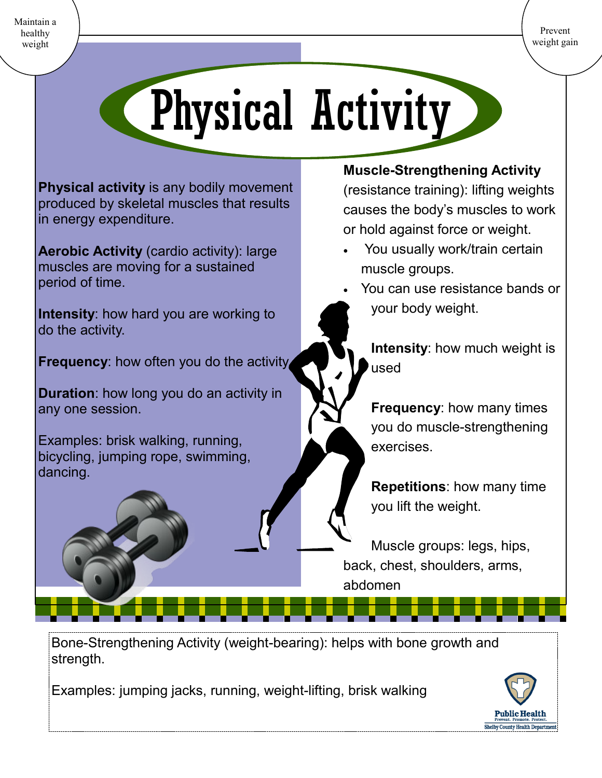Prevent weight gain

Maintain a healthy weight

## Physical Activity

**Physical activity** is any bodily movement produced by skeletal muscles that results in energy expenditure.

**Aerobic Activity** (cardio activity): large muscles are moving for a sustained period of time.

**Intensity**: how hard you are working to do the activity.

**Frequency:** how often you do the activity.

**Duration**: how long you do an activity in any one session.

Examples: brisk walking, running, bicycling, jumping rope, swimming, dancing.

## **Muscle-Strengthening Activity**

(resistance training): lifting weights causes the body's muscles to work or hold against force or weight.

- You usually work/train certain muscle groups.
- You can use resistance bands or your body weight.

**Intensity**: how much weight is used

**Frequency**: how many times you do muscle-strengthening exercises.

**Repetitions**: how many time you lift the weight.

Muscle groups: legs, hips, back, chest, shoulders, arms, abdomen

Bone-Strengthening Activity (weight-bearing): helps with bone growth and strength.

Examples: jumping jacks, running, weight-lifting, brisk walking